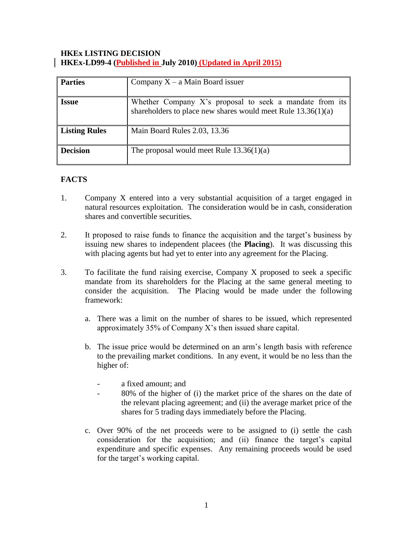### **HKEx LISTING DECISION HKEx-LD99-4 (Published in July 2010) (Updated in April 2015)**

| <b>Parties</b>       | Company $X - a$ Main Board issuer                                                                                         |
|----------------------|---------------------------------------------------------------------------------------------------------------------------|
| <b>Issue</b>         | Whether Company X's proposal to seek a mandate from its<br>shareholders to place new shares would meet Rule $13.36(1)(a)$ |
| <b>Listing Rules</b> | Main Board Rules 2.03, 13.36                                                                                              |
| <b>Decision</b>      | The proposal would meet Rule $13.36(1)(a)$                                                                                |

# **FACTS**

- 1. Company X entered into a very substantial acquisition of a target engaged in natural resources exploitation. The consideration would be in cash, consideration shares and convertible securities.
- 2. It proposed to raise funds to finance the acquisition and the target's business by issuing new shares to independent placees (the **Placing**). It was discussing this with placing agents but had yet to enter into any agreement for the Placing.
- 3. To facilitate the fund raising exercise, Company X proposed to seek a specific mandate from its shareholders for the Placing at the same general meeting to consider the acquisition. The Placing would be made under the following framework:
	- a. There was a limit on the number of shares to be issued, which represented approximately 35% of Company X's then issued share capital.
	- b. The issue price would be determined on an arm's length basis with reference to the prevailing market conditions. In any event, it would be no less than the higher of:
		- a fixed amount: and
		- 80% of the higher of (i) the market price of the shares on the date of the relevant placing agreement; and (ii) the average market price of the shares for 5 trading days immediately before the Placing.
	- c. Over 90% of the net proceeds were to be assigned to (i) settle the cash consideration for the acquisition; and (ii) finance the target's capital expenditure and specific expenses. Any remaining proceeds would be used for the target's working capital.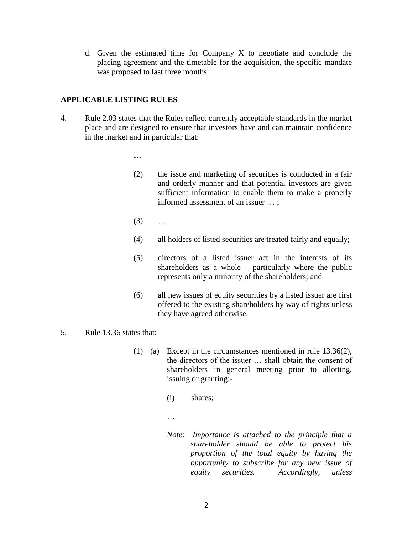d. Given the estimated time for Company X to negotiate and conclude the placing agreement and the timetable for the acquisition, the specific mandate was proposed to last three months.

# **APPLICABLE LISTING RULES**

4. Rule 2.03 states that the Rules reflect currently acceptable standards in the market place and are designed to ensure that investors have and can maintain confidence in the market and in particular that:

**…**

- (2) the issue and marketing of securities is conducted in a fair and orderly manner and that potential investors are given sufficient information to enable them to make a properly informed assessment of an issuer … ;
- $(3)$  ...
- (4) all holders of listed securities are treated fairly and equally;
- (5) directors of a listed issuer act in the interests of its shareholders as a whole – particularly where the public represents only a minority of the shareholders; and
- (6) all new issues of equity securities by a listed issuer are first offered to the existing shareholders by way of rights unless they have agreed otherwise.
- 5. Rule 13.36 states that:
	- (1) (a) Except in the circumstances mentioned in rule 13.36(2), the directors of the issuer … shall obtain the consent of shareholders in general meeting prior to allotting, issuing or granting:-
		- (i) shares;
		- …
		- *Note: Importance is attached to the principle that a shareholder should be able to protect his proportion of the total equity by having the opportunity to subscribe for any new issue of equity securities. Accordingly, unless*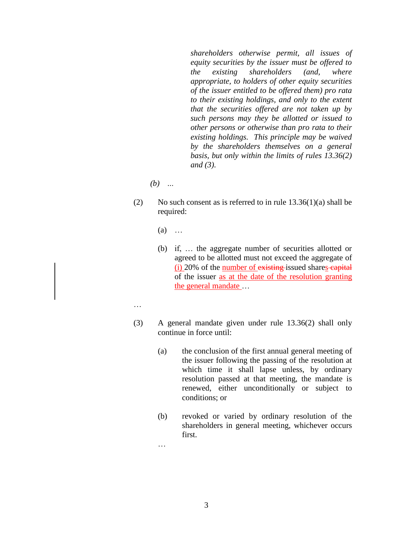*shareholders otherwise permit, all issues of equity securities by the issuer must be offered to the existing shareholders (and, where appropriate, to holders of other equity securities of the issuer entitled to be offered them) pro rata to their existing holdings, and only to the extent that the securities offered are not taken up by such persons may they be allotted or issued to other persons or otherwise than pro rata to their existing holdings. This principle may be waived by the shareholders themselves on a general basis, but only within the limits of rules 13.36(2) and (3).* 

- *(b) …*
- (2) No such consent as is referred to in rule  $13.36(1)(a)$  shall be required:
	- $(a)$  …
	- (b) if, … the aggregate number of securities allotted or agreed to be allotted must not exceed the aggregate of  $(i)$  20% of the number of existing-issued shares-capital of the issuer as at the date of the resolution granting the general mandate …
- …
- (3) A general mandate given under rule 13.36(2) shall only continue in force until:
	- (a) the conclusion of the first annual general meeting of the issuer following the passing of the resolution at which time it shall lapse unless, by ordinary resolution passed at that meeting, the mandate is renewed, either unconditionally or subject to conditions; or
	- (b) revoked or varied by ordinary resolution of the shareholders in general meeting, whichever occurs first.
	- …